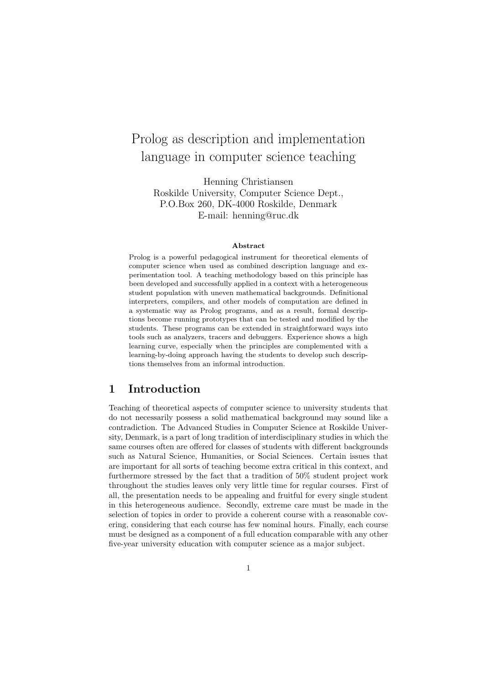# Prolog as description and implementation language in computer science teaching

Henning Christiansen Roskilde University, Computer Science Dept., P.O.Box 260, DK-4000 Roskilde, Denmark E-mail: henning@ruc.dk

#### Abstract

Prolog is a powerful pedagogical instrument for theoretical elements of computer science when used as combined description language and experimentation tool. A teaching methodology based on this principle has been developed and successfully applied in a context with a heterogeneous student population with uneven mathematical backgrounds. Definitional interpreters, compilers, and other models of computation are defined in a systematic way as Prolog programs, and as a result, formal descriptions become running prototypes that can be tested and modified by the students. These programs can be extended in straightforward ways into tools such as analyzers, tracers and debuggers. Experience shows a high learning curve, especially when the principles are complemented with a learning-by-doing approach having the students to develop such descriptions themselves from an informal introduction.

### 1 Introduction

Teaching of theoretical aspects of computer science to university students that do not necessarily possess a solid mathematical background may sound like a contradiction. The Advanced Studies in Computer Science at Roskilde University, Denmark, is a part of long tradition of interdisciplinary studies in which the same courses often are offered for classes of students with different backgrounds such as Natural Science, Humanities, or Social Sciences. Certain issues that are important for all sorts of teaching become extra critical in this context, and furthermore stressed by the fact that a tradition of 50% student project work throughout the studies leaves only very little time for regular courses. First of all, the presentation needs to be appealing and fruitful for every single student in this heterogeneous audience. Secondly, extreme care must be made in the selection of topics in order to provide a coherent course with a reasonable covering, considering that each course has few nominal hours. Finally, each course must be designed as a component of a full education comparable with any other five-year university education with computer science as a major subject.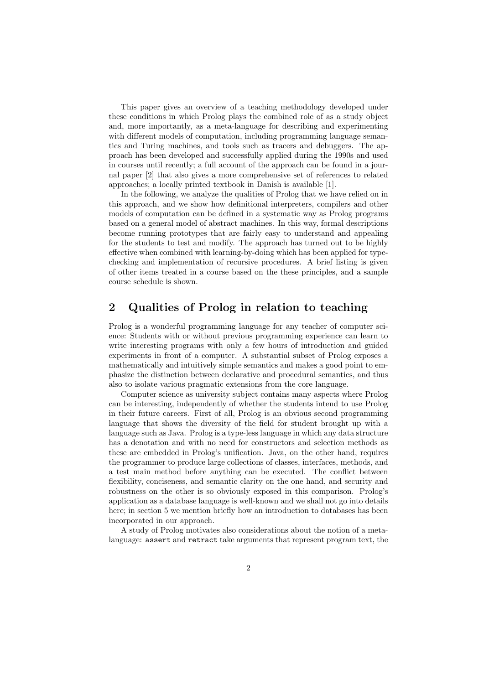This paper gives an overview of a teaching methodology developed under these conditions in which Prolog plays the combined role of as a study object and, more importantly, as a meta-language for describing and experimenting with different models of computation, including programming language semantics and Turing machines, and tools such as tracers and debuggers. The approach has been developed and successfully applied during the 1990s and used in courses until recently; a full account of the approach can be found in a journal paper [2] that also gives a more comprehensive set of references to related approaches; a locally printed textbook in Danish is available [1].

In the following, we analyze the qualities of Prolog that we have relied on in this approach, and we show how definitional interpreters, compilers and other models of computation can be defined in a systematic way as Prolog programs based on a general model of abstract machines. In this way, formal descriptions become running prototypes that are fairly easy to understand and appealing for the students to test and modify. The approach has turned out to be highly effective when combined with learning-by-doing which has been applied for typechecking and implementation of recursive procedures. A brief listing is given of other items treated in a course based on the these principles, and a sample course schedule is shown.

## 2 Qualities of Prolog in relation to teaching

Prolog is a wonderful programming language for any teacher of computer science: Students with or without previous programming experience can learn to write interesting programs with only a few hours of introduction and guided experiments in front of a computer. A substantial subset of Prolog exposes a mathematically and intuitively simple semantics and makes a good point to emphasize the distinction between declarative and procedural semantics, and thus also to isolate various pragmatic extensions from the core language.

Computer science as university subject contains many aspects where Prolog can be interesting, independently of whether the students intend to use Prolog in their future careers. First of all, Prolog is an obvious second programming language that shows the diversity of the field for student brought up with a language such as Java. Prolog is a type-less language in which any data structure has a denotation and with no need for constructors and selection methods as these are embedded in Prolog's unification. Java, on the other hand, requires the programmer to produce large collections of classes, interfaces, methods, and a test main method before anything can be executed. The conflict between flexibility, conciseness, and semantic clarity on the one hand, and security and robustness on the other is so obviously exposed in this comparison. Prolog's application as a database language is well-known and we shall not go into details here; in section 5 we mention briefly how an introduction to databases has been incorporated in our approach.

A study of Prolog motivates also considerations about the notion of a metalanguage: assert and retract take arguments that represent program text, the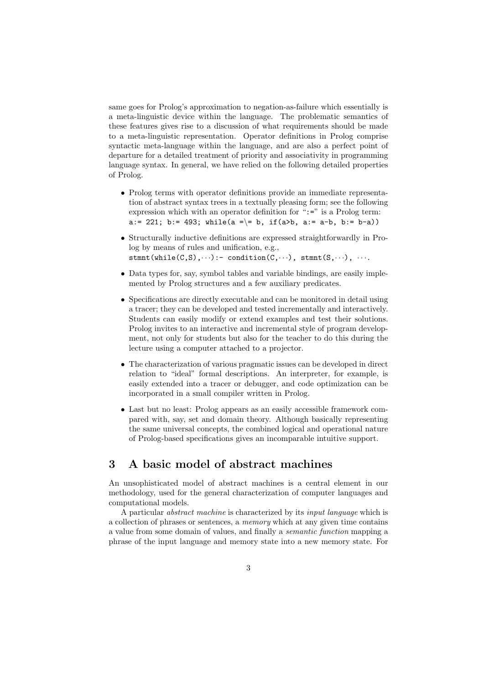same goes for Prolog's approximation to negation-as-failure which essentially is a meta-linguistic device within the language. The problematic semantics of these features gives rise to a discussion of what requirements should be made to a meta-linguistic representation. Operator definitions in Prolog comprise syntactic meta-language within the language, and are also a perfect point of departure for a detailed treatment of priority and associativity in programming language syntax. In general, we have relied on the following detailed properties of Prolog.

- Prolog terms with operator definitions provide an immediate representation of abstract syntax trees in a textually pleasing form; see the following expression which with an operator definition for " $:=$ " is a Prolog term: a:= 221; b:= 493; while(a =\= b, if(a>b, a:= a-b, b:= b-a))
- Structurally inductive definitions are expressed straightforwardly in Prolog by means of rules and unification, e.g.,  $stmmt(while(C,S),\cdots):$ - condition $(C,\cdots)$ , stmnt $(S,\cdots)$ ,  $\cdots$ .
- Data types for, say, symbol tables and variable bindings, are easily implemented by Prolog structures and a few auxiliary predicates.
- Specifications are directly executable and can be monitored in detail using a tracer; they can be developed and tested incrementally and interactively. Students can easily modify or extend examples and test their solutions. Prolog invites to an interactive and incremental style of program development, not only for students but also for the teacher to do this during the lecture using a computer attached to a projector.
- The characterization of various pragmatic issues can be developed in direct relation to "ideal" formal descriptions. An interpreter, for example, is easily extended into a tracer or debugger, and code optimization can be incorporated in a small compiler written in Prolog.
- Last but no least: Prolog appears as an easily accessible framework compared with, say, set and domain theory. Although basically representing the same universal concepts, the combined logical and operational nature of Prolog-based specifications gives an incomparable intuitive support.

# 3 A basic model of abstract machines

An unsophisticated model of abstract machines is a central element in our methodology, used for the general characterization of computer languages and computational models.

A particular abstract machine is characterized by its input language which is a collection of phrases or sentences, a memory which at any given time contains a value from some domain of values, and finally a semantic function mapping a phrase of the input language and memory state into a new memory state. For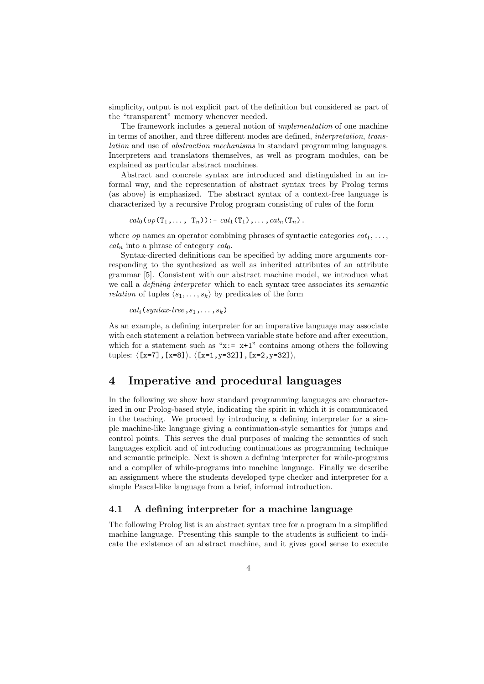simplicity, output is not explicit part of the definition but considered as part of the "transparent" memory whenever needed.

The framework includes a general notion of implementation of one machine in terms of another, and three different modes are defined, interpretation, translation and use of abstraction mechanisms in standard programming languages. Interpreters and translators themselves, as well as program modules, can be explained as particular abstract machines.

Abstract and concrete syntax are introduced and distinguished in an informal way, and the representation of abstract syntax trees by Prolog terms (as above) is emphasized. The abstract syntax of a context-free language is characterized by a recursive Prolog program consisting of rules of the form

 $cat_0(op(T_1,..., T_n)) := cat_1(T_1),..., cat_n(T_n)$ .

where *op* names an operator combining phrases of syntactic categories  $cat_1, \ldots,$  $cat_n$  into a phrase of category  $cat_0$ .

Syntax-directed definitions can be specified by adding more arguments corresponding to the synthesized as well as inherited attributes of an attribute grammar [5]. Consistent with our abstract machine model, we introduce what we call a *defining interpreter* which to each syntax tree associates its *semantic relation* of tuples  $\langle s_1, \ldots, s_k \rangle$  by predicates of the form

 $cat_i$  (syntax-tree,  $s_1, \ldots, s_k$ )

As an example, a defining interpreter for an imperative language may associate with each statement a relation between variable state before and after execution, which for a statement such as " $x:= x+1$ " contains among others the following tuples:  $\langle [x=7], [x=8]\rangle, \langle [x=1,y=32]], [x=2,y=32]\rangle,$ 

# 4 Imperative and procedural languages

In the following we show how standard programming languages are characterized in our Prolog-based style, indicating the spirit in which it is communicated in the teaching. We proceed by introducing a defining interpreter for a simple machine-like language giving a continuation-style semantics for jumps and control points. This serves the dual purposes of making the semantics of such languages explicit and of introducing continuations as programming technique and semantic principle. Next is shown a defining interpreter for while-programs and a compiler of while-programs into machine language. Finally we describe an assignment where the students developed type checker and interpreter for a simple Pascal-like language from a brief, informal introduction.

#### 4.1 A defining interpreter for a machine language

The following Prolog list is an abstract syntax tree for a program in a simplified machine language. Presenting this sample to the students is sufficient to indicate the existence of an abstract machine, and it gives good sense to execute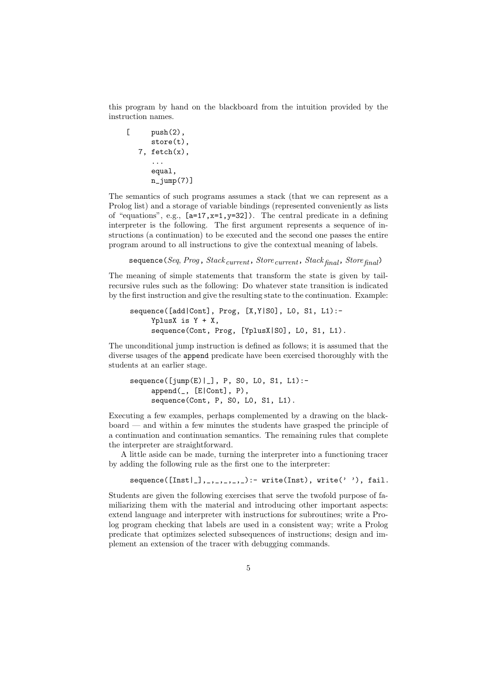this program by hand on the blackboard from the intuition provided by the instruction names.

```
[ push(2),
   store(t),
7, fetch(x),
    ...
   equal,
   n_jump(7)]
```
The semantics of such programs assumes a stack (that we can represent as a Prolog list) and a storage of variable bindings (represented conveniently as lists of "equations", e.g., [a=17,x=1,y=32]). The central predicate in a defining interpreter is the following. The first argument represents a sequence of instructions (a continuation) to be executed and the second one passes the entire program around to all instructions to give the contextual meaning of labels.

sequence(Seq, Prog, Stack current, Store current, Stack  $_{final}$ , Store  $_{final}$ )

The meaning of simple statements that transform the state is given by tailrecursive rules such as the following: Do whatever state transition is indicated by the first instruction and give the resulting state to the continuation. Example:

```
sequence([add|Cont], Prog, [X,Y|S0], L0, S1, L1):-
  YplusX is Y + X,
   sequence(Cont, Prog, [YplusX|S0], L0, S1, L1).
```
The unconditional jump instruction is defined as follows; it is assumed that the diverse usages of the append predicate have been exercised thoroughly with the students at an earlier stage.

```
sequence(\lceil \text{jump}(E) \rceil, P, SO, LO, S1, L1):append(_, [E|Cont], P),
   sequence(Cont, P, S0, L0, S1, L1).
```
Executing a few examples, perhaps complemented by a drawing on the blackboard — and within a few minutes the students have grasped the principle of a continuation and continuation semantics. The remaining rules that complete the interpreter are straightforward.

A little aside can be made, turning the interpreter into a functioning tracer by adding the following rule as the first one to the interpreter:

sequence( $[Inst|_], _{-}, _{-}, _{-}, _{-}, _{-}, _{-}$ ):- write(Inst), write(''), fail.

Students are given the following exercises that serve the twofold purpose of familiarizing them with the material and introducing other important aspects: extend language and interpreter with instructions for subroutines; write a Prolog program checking that labels are used in a consistent way; write a Prolog predicate that optimizes selected subsequences of instructions; design and implement an extension of the tracer with debugging commands.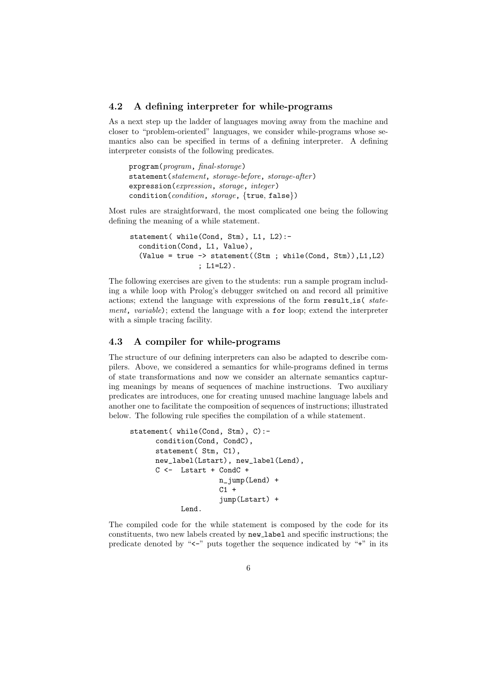#### 4.2 A defining interpreter for while-programs

As a next step up the ladder of languages moving away from the machine and closer to "problem-oriented" languages, we consider while-programs whose semantics also can be specified in terms of a defining interpreter. A defining interpreter consists of the following predicates.

program(program, final-storage) statement(statement, storage-before, storage-after) expression(expression, storage, integer) condition(*condition*, *storage*, {true, false})

Most rules are straightforward, the most complicated one being the following defining the meaning of a while statement.

```
statement( while(Cond, Stm), L1, L2):-
condition(Cond, L1, Value),
(Value = true \rightarrow statement((Stm ; while(Cond, Stm)), L1, L2)); L1=L2).
```
The following exercises are given to the students: run a sample program including a while loop with Prolog's debugger switched on and record all primitive actions; extend the language with expressions of the form result is( statement, variable); extend the language with a for loop; extend the interpreter with a simple tracing facility.

### 4.3 A compiler for while-programs

The structure of our defining interpreters can also be adapted to describe compilers. Above, we considered a semantics for while-programs defined in terms of state transformations and now we consider an alternate semantics capturing meanings by means of sequences of machine instructions. Two auxiliary predicates are introduces, one for creating unused machine language labels and another one to facilitate the composition of sequences of instructions; illustrated below. The following rule specifies the compilation of a while statement.

```
statement( while(Cond, Stm), C):-
    condition(Cond, CondC),
    statement( Stm, C1),
    new_label(Lstart), new_label(Lend),
    C <- Lstart + CondC +
                   n_jump(Lend) +
                   C1 +jump(Lstart) +
          Lend.
```
The compiled code for the while statement is composed by the code for its constituents, two new labels created by new label and specific instructions; the predicate denoted by " $\lt\sim$ " puts together the sequence indicated by " $\div$ " in its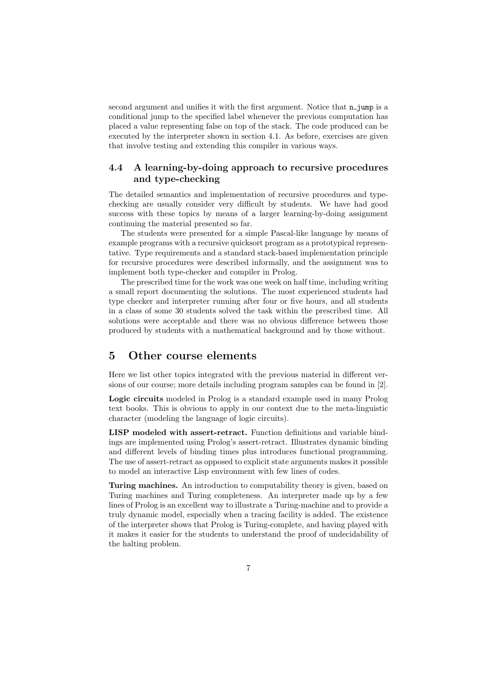second argument and unifies it with the first argument. Notice that  $n$ -jump is a conditional jump to the specified label whenever the previous computation has placed a value representing false on top of the stack. The code produced can be executed by the interpreter shown in section 4.1. As before, exercises are given that involve testing and extending this compiler in various ways.

### 4.4 A learning-by-doing approach to recursive procedures and type-checking

The detailed semantics and implementation of recursive procedures and typechecking are usually consider very difficult by students. We have had good success with these topics by means of a larger learning-by-doing assignment continuing the material presented so far.

The students were presented for a simple Pascal-like language by means of example programs with a recursive quicksort program as a prototypical representative. Type requirements and a standard stack-based implementation principle for recursive procedures were described informally, and the assignment was to implement both type-checker and compiler in Prolog.

The prescribed time for the work was one week on half time, including writing a small report documenting the solutions. The most experienced students had type checker and interpreter running after four or five hours, and all students in a class of some 30 students solved the task within the prescribed time. All solutions were acceptable and there was no obvious difference between those produced by students with a mathematical background and by those without.

### 5 Other course elements

Here we list other topics integrated with the previous material in different versions of our course; more details including program samples can be found in [2].

Logic circuits modeled in Prolog is a standard example used in many Prolog text books. This is obvious to apply in our context due to the meta-linguistic character (modeling the language of logic circuits).

LISP modeled with assert-retract. Function definitions and variable bindings are implemented using Prolog's assert-retract. Illustrates dynamic binding and different levels of binding times plus introduces functional programming. The use of assert-retract as opposed to explicit state arguments makes it possible to model an interactive Lisp environment with few lines of codes.

Turing machines. An introduction to computability theory is given, based on Turing machines and Turing completeness. An interpreter made up by a few lines of Prolog is an excellent way to illustrate a Turing-machine and to provide a truly dynamic model, especially when a tracing facility is added. The existence of the interpreter shows that Prolog is Turing-complete, and having played with it makes it easier for the students to understand the proof of undecidability of the halting problem.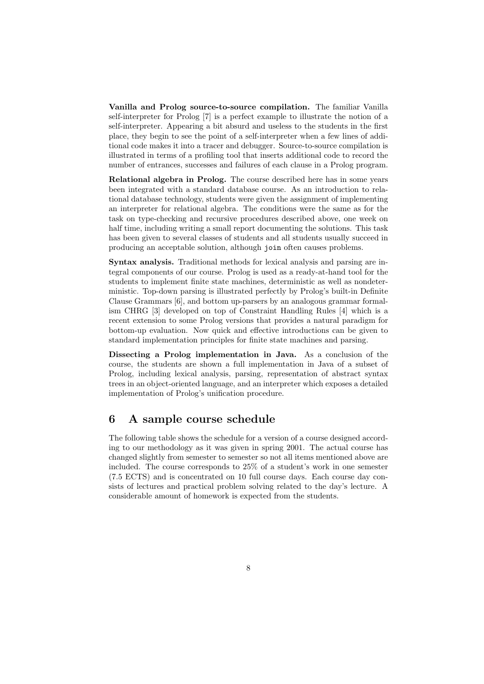Vanilla and Prolog source-to-source compilation. The familiar Vanilla self-interpreter for Prolog [7] is a perfect example to illustrate the notion of a self-interpreter. Appearing a bit absurd and useless to the students in the first place, they begin to see the point of a self-interpreter when a few lines of additional code makes it into a tracer and debugger. Source-to-source compilation is illustrated in terms of a profiling tool that inserts additional code to record the number of entrances, successes and failures of each clause in a Prolog program.

Relational algebra in Prolog. The course described here has in some years been integrated with a standard database course. As an introduction to relational database technology, students were given the assignment of implementing an interpreter for relational algebra. The conditions were the same as for the task on type-checking and recursive procedures described above, one week on half time, including writing a small report documenting the solutions. This task has been given to several classes of students and all students usually succeed in producing an acceptable solution, although join often causes problems.

Syntax analysis. Traditional methods for lexical analysis and parsing are integral components of our course. Prolog is used as a ready-at-hand tool for the students to implement finite state machines, deterministic as well as nondeterministic. Top-down parsing is illustrated perfectly by Prolog's built-in Definite Clause Grammars [6], and bottom up-parsers by an analogous grammar formalism CHRG [3] developed on top of Constraint Handling Rules [4] which is a recent extension to some Prolog versions that provides a natural paradigm for bottom-up evaluation. Now quick and effective introductions can be given to standard implementation principles for finite state machines and parsing.

Dissecting a Prolog implementation in Java. As a conclusion of the course, the students are shown a full implementation in Java of a subset of Prolog, including lexical analysis, parsing, representation of abstract syntax trees in an object-oriented language, and an interpreter which exposes a detailed implementation of Prolog's unification procedure.

# 6 A sample course schedule

The following table shows the schedule for a version of a course designed according to our methodology as it was given in spring 2001. The actual course has changed slightly from semester to semester so not all items mentioned above are included. The course corresponds to 25% of a student's work in one semester (7.5 ECTS) and is concentrated on 10 full course days. Each course day consists of lectures and practical problem solving related to the day's lecture. A considerable amount of homework is expected from the students.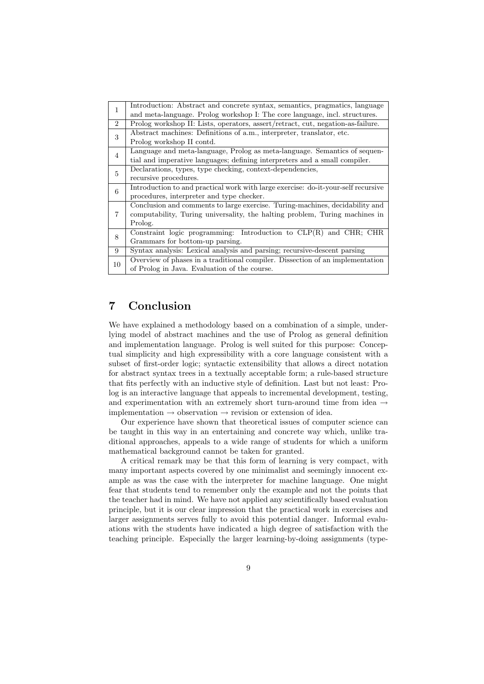|                | Introduction: Abstract and concrete syntax, semantics, pragmatics, language       |
|----------------|-----------------------------------------------------------------------------------|
| 1              |                                                                                   |
|                | and meta-language. Prolog workshop I: The core language, incl. structures.        |
| $\mathfrak{D}$ | Prolog workshop II: Lists, operators, assert/retract, cut, negation-as-failure.   |
| 3              | Abstract machines: Definitions of a.m., interpreter, translator, etc.             |
|                | Prolog workshop II contd.                                                         |
| 4              | Language and meta-language, Prolog as meta-language. Semantics of sequen-         |
|                | tial and imperative languages; defining interpreters and a small compiler.        |
| 5              | Declarations, types, type checking, context-dependencies,                         |
|                | recursive procedures.                                                             |
| 6              | Introduction to and practical work with large exercise: do-it-your-self recursive |
|                | procedures, interpreter and type checker.                                         |
| 7              | Conclusion and comments to large exercise. Turing-machines, decidability and      |
|                | computability, Turing universality, the halting problem, Turing machines in       |
|                | Prolog.                                                                           |
| 8              | Constraint logic programming: Introduction to $CLP(R)$ and $CHR$ ; CHR            |
|                | Grammars for bottom-up parsing.                                                   |
| 9              | Syntax analysis: Lexical analysis and parsing; recursive-descent parsing          |
| 10             | Overview of phases in a traditional compiler. Dissection of an implementation     |
|                | of Prolog in Java. Evaluation of the course.                                      |
|                |                                                                                   |

# 7 Conclusion

We have explained a methodology based on a combination of a simple, underlying model of abstract machines and the use of Prolog as general definition and implementation language. Prolog is well suited for this purpose: Conceptual simplicity and high expressibility with a core language consistent with a subset of first-order logic; syntactic extensibility that allows a direct notation for abstract syntax trees in a textually acceptable form; a rule-based structure that fits perfectly with an inductive style of definition. Last but not least: Prolog is an interactive language that appeals to incremental development, testing, and experimentation with an extremely short turn-around time from idea  $\rightarrow$ implementation  $\rightarrow$  observation  $\rightarrow$  revision or extension of idea.

Our experience have shown that theoretical issues of computer science can be taught in this way in an entertaining and concrete way which, unlike traditional approaches, appeals to a wide range of students for which a uniform mathematical background cannot be taken for granted.

A critical remark may be that this form of learning is very compact, with many important aspects covered by one minimalist and seemingly innocent example as was the case with the interpreter for machine language. One might fear that students tend to remember only the example and not the points that the teacher had in mind. We have not applied any scientifically based evaluation principle, but it is our clear impression that the practical work in exercises and larger assignments serves fully to avoid this potential danger. Informal evaluations with the students have indicated a high degree of satisfaction with the teaching principle. Especially the larger learning-by-doing assignments (type